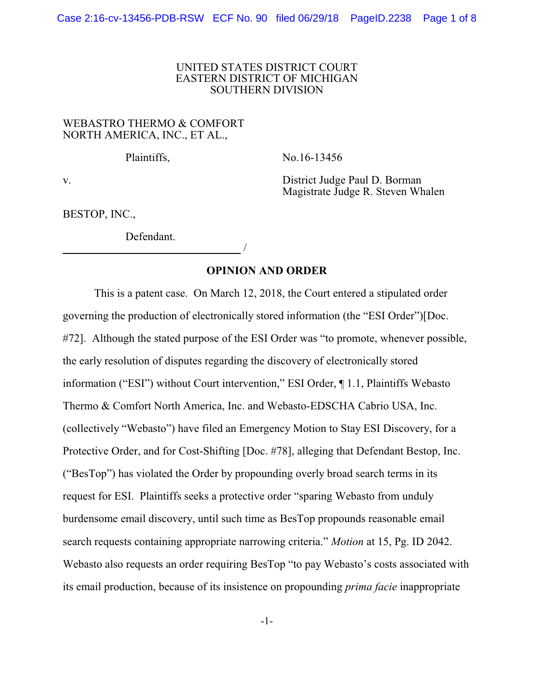## UNITED STATES DISTRICT COURT EASTERN DISTRICT OF MICHIGAN SOUTHERN DIVISION

# WEBASTRO THERMO & COMFORT NORTH AMERICA, INC., ET AL.,

Plaintiffs, No.16-13456

v. District Judge Paul D. Borman Magistrate Judge R. Steven Whalen

BESTOP, INC.,

Defendant. /

**OPINION AND ORDER**

This is a patent case. On March 12, 2018, the Court entered a stipulated order governing the production of electronically stored information (the "ESI Order")[Doc. #72]. Although the stated purpose of the ESI Order was "to promote, whenever possible, the early resolution of disputes regarding the discovery of electronically stored information ("ESI") without Court intervention," ESI Order, ¶ 1.1, Plaintiffs Webasto Thermo & Comfort North America, Inc. and Webasto-EDSCHA Cabrio USA, Inc. (collectively "Webasto") have filed an Emergency Motion to Stay ESI Discovery, for a Protective Order, and for Cost-Shifting [Doc. #78], alleging that Defendant Bestop, Inc. ("BesTop") has violated the Order by propounding overly broad search terms in its request for ESI. Plaintiffs seeks a protective order "sparing Webasto from unduly burdensome email discovery, until such time as BesTop propounds reasonable email search requests containing appropriate narrowing criteria." *Motion* at 15, Pg. ID 2042. Webasto also requests an order requiring BesTop "to pay Webasto's costs associated with its email production, because of its insistence on propounding *prima facie* inappropriate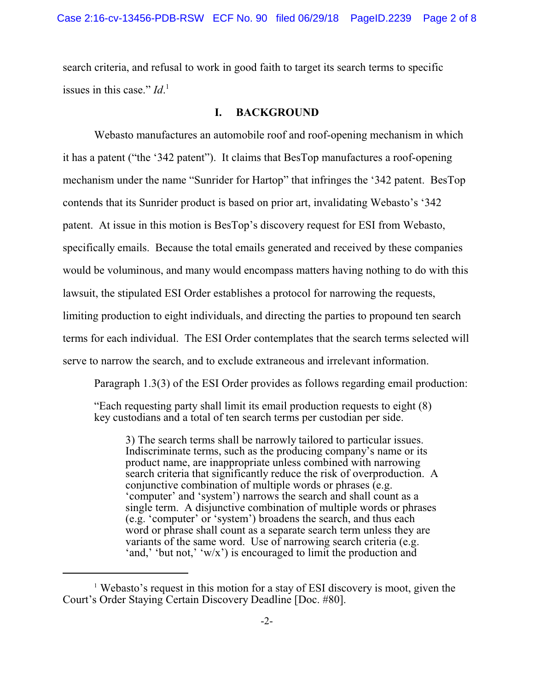search criteria, and refusal to work in good faith to target its search terms to specific issues in this case." *Id*. 1

# **I. BACKGROUND**

Webasto manufactures an automobile roof and roof-opening mechanism in which it has a patent ("the '342 patent"). It claims that BesTop manufactures a roof-opening mechanism under the name "Sunrider for Hartop" that infringes the '342 patent. BesTop contends that its Sunrider product is based on prior art, invalidating Webasto's '342 patent. At issue in this motion is BesTop's discovery request for ESI from Webasto, specifically emails. Because the total emails generated and received by these companies would be voluminous, and many would encompass matters having nothing to do with this lawsuit, the stipulated ESI Order establishes a protocol for narrowing the requests, limiting production to eight individuals, and directing the parties to propound ten search terms for each individual. The ESI Order contemplates that the search terms selected will serve to narrow the search, and to exclude extraneous and irrelevant information.

Paragraph 1.3(3) of the ESI Order provides as follows regarding email production:

"Each requesting party shall limit its email production requests to eight (8) key custodians and a total of ten search terms per custodian per side.

3) The search terms shall be narrowly tailored to particular issues. Indiscriminate terms, such as the producing company's name or its product name, are inappropriate unless combined with narrowing search criteria that significantly reduce the risk of overproduction. A conjunctive combination of multiple words or phrases (e.g. 'computer' and 'system') narrows the search and shall count as a single term. A disjunctive combination of multiple words or phrases (e.g. 'computer' or 'system') broadens the search, and thus each word or phrase shall count as a separate search term unless they are variants of the same word. Use of narrowing search criteria (e.g. 'and,' 'but not,' 'w/x') is encouraged to limit the production and

<sup>&</sup>lt;sup>1</sup> Webasto's request in this motion for a stay of ESI discovery is moot, given the Court's Order Staying Certain Discovery Deadline [Doc. #80].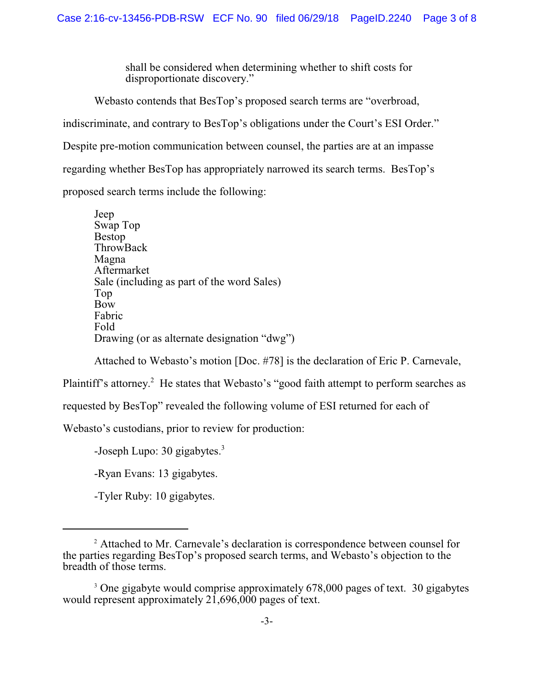shall be considered when determining whether to shift costs for disproportionate discovery."

Webasto contends that BesTop's proposed search terms are "overbroad, indiscriminate, and contrary to BesTop's obligations under the Court's ESI Order." Despite pre-motion communication between counsel, the parties are at an impasse regarding whether BesTop has appropriately narrowed its search terms. BesTop's proposed search terms include the following:

Jeep Swap Top Bestop ThrowBack Magna Aftermarket Sale (including as part of the word Sales) Top Bow Fabric Fold Drawing (or as alternate designation "dwg")

Attached to Webasto's motion [Doc. #78] is the declaration of Eric P. Carnevale,

Plaintiff's attorney.<sup>2</sup> He states that Webasto's "good faith attempt to perform searches as

requested by BesTop" revealed the following volume of ESI returned for each of

Webasto's custodians, prior to review for production:

-Joseph Lupo:  $30$  gigabytes.<sup>3</sup>

-Ryan Evans: 13 gigabytes.

-Tyler Ruby: 10 gigabytes.

<sup>&</sup>lt;sup>2</sup> Attached to Mr. Carnevale's declaration is correspondence between counsel for the parties regarding BesTop's proposed search terms, and Webasto's objection to the breadth of those terms.

<sup>&</sup>lt;sup>3</sup> One gigabyte would comprise approximately 678,000 pages of text. 30 gigabytes would represent approximately 21,696,000 pages of text.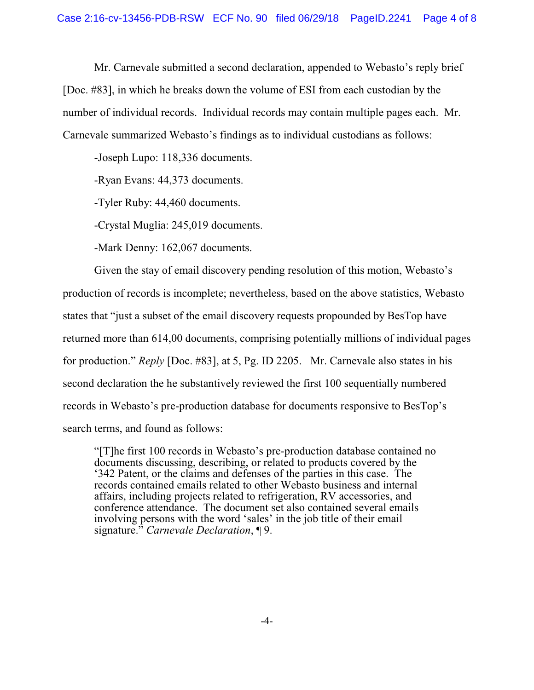Mr. Carnevale submitted a second declaration, appended to Webasto's reply brief [Doc. #83], in which he breaks down the volume of ESI from each custodian by the number of individual records. Individual records may contain multiple pages each. Mr. Carnevale summarized Webasto's findings as to individual custodians as follows:

-Joseph Lupo: 118,336 documents.

-Ryan Evans: 44,373 documents.

-Tyler Ruby: 44,460 documents.

-Crystal Muglia: 245,019 documents.

-Mark Denny: 162,067 documents.

Given the stay of email discovery pending resolution of this motion, Webasto's production of records is incomplete; nevertheless, based on the above statistics, Webasto states that "just a subset of the email discovery requests propounded by BesTop have returned more than 614,00 documents, comprising potentially millions of individual pages for production." *Reply* [Doc. #83], at 5, Pg. ID 2205. Mr. Carnevale also states in his second declaration the he substantively reviewed the first 100 sequentially numbered records in Webasto's pre-production database for documents responsive to BesTop's search terms, and found as follows:

"[T]he first 100 records in Webasto's pre-production database contained no documents discussing, describing, or related to products covered by the '342 Patent, or the claims and defenses of the parties in this case. The records contained emails related to other Webasto business and internal affairs, including projects related to refrigeration, RV accessories, and conference attendance. The document set also contained several emails involving persons with the word 'sales' in the job title of their email signature." *Carnevale Declaration*, ¶ 9.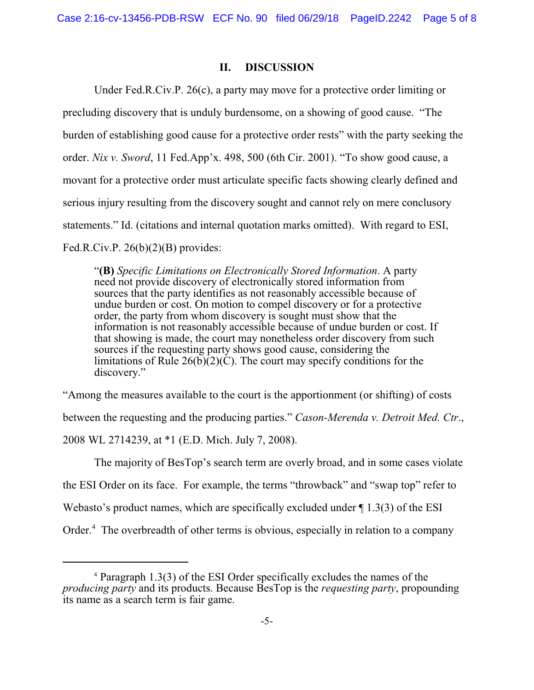#### **II. DISCUSSION**

Under Fed.R.Civ.P. 26(c), a party may move for a protective order limiting or precluding discovery that is unduly burdensome, on a showing of good cause. "The burden of establishing good cause for a protective order rests" with the party seeking the order. *Nix v. Sword*, 11 Fed.App'x. 498, 500 (6th Cir. 2001). "To show good cause, a movant for a protective order must articulate specific facts showing clearly defined and serious injury resulting from the discovery sought and cannot rely on mere conclusory statements." Id. (citations and internal quotation marks omitted). With regard to ESI, Fed.R.Civ.P.  $26(b)(2)(B)$  provides:

"**(B)** *Specific Limitations on Electronically Stored Information*. A party need not provide discovery of electronically stored information from sources that the party identifies as not reasonably accessible because of undue burden or cost. On motion to compel discovery or for a protective order, the party from whom discovery is sought must show that the information is not reasonably accessible because of undue burden or cost. If that showing is made, the court may nonetheless order discovery from such sources if the requesting party shows good cause, considering the limitations of Rule  $26(b)(2)(C)$ . The court may specify conditions for the discovery."

"Among the measures available to the court is the apportionment (or shifting) of costs between the requesting and the producing parties." *Cason-Merenda v. Detroit Med. Ctr*., 2008 WL 2714239, at \*1 (E.D. Mich. July 7, 2008).

The majority of BesTop's search term are overly broad, and in some cases violate the ESI Order on its face. For example, the terms "throwback" and "swap top" refer to Webasto's product names, which are specifically excluded under  $\P$  1.3(3) of the ESI Order.<sup>4</sup> The overbreadth of other terms is obvious, especially in relation to a company

 $4$  Paragraph 1.3(3) of the ESI Order specifically excludes the names of the *producing party* and its products. Because BesTop is the *requesting party*, propounding its name as a search term is fair game.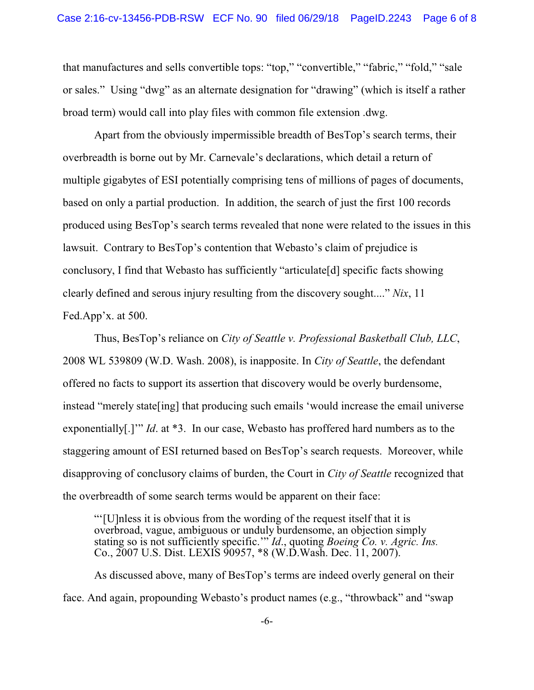that manufactures and sells convertible tops: "top," "convertible," "fabric," "fold," "sale or sales." Using "dwg" as an alternate designation for "drawing" (which is itself a rather broad term) would call into play files with common file extension .dwg.

Apart from the obviously impermissible breadth of BesTop's search terms, their overbreadth is borne out by Mr. Carnevale's declarations, which detail a return of multiple gigabytes of ESI potentially comprising tens of millions of pages of documents, based on only a partial production. In addition, the search of just the first 100 records produced using BesTop's search terms revealed that none were related to the issues in this lawsuit. Contrary to BesTop's contention that Webasto's claim of prejudice is conclusory, I find that Webasto has sufficiently "articulate[d] specific facts showing clearly defined and serous injury resulting from the discovery sought...." *Nix*, 11 Fed.App'x. at 500.

Thus, BesTop's reliance on *City of Seattle v. Professional Basketball Club, LLC*, 2008 WL 539809 (W.D. Wash. 2008), is inapposite. In *City of Seattle*, the defendant offered no facts to support its assertion that discovery would be overly burdensome, instead "merely state[ing] that producing such emails 'would increase the email universe exponentially[.]'" *Id*. at \*3. In our case, Webasto has proffered hard numbers as to the staggering amount of ESI returned based on BesTop's search requests. Moreover, while disapproving of conclusory claims of burden, the Court in *City of Seattle* recognized that the overbreadth of some search terms would be apparent on their face:

"'[U]nless it is obvious from the wording of the request itself that it is overbroad, vague, ambiguous or unduly burdensome, an objection simply stating so is not sufficiently specific.'" *Id*., quoting *Boeing Co. v. Agric. Ins.* Co., 2007 U.S. Dist. LEXIS 90957, \*8 (W.D.Wash. Dec. 11, 2007).

As discussed above, many of BesTop's terms are indeed overly general on their face. And again, propounding Webasto's product names (e.g., "throwback" and "swap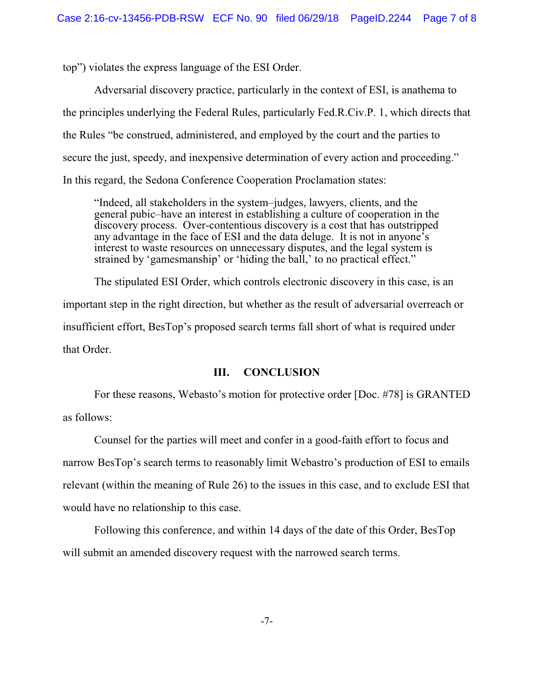top") violates the express language of the ESI Order.

Adversarial discovery practice, particularly in the context of ESI, is anathema to the principles underlying the Federal Rules, particularly Fed.R.Civ.P. 1, which directs that the Rules "be construed, administered, and employed by the court and the parties to secure the just, speedy, and inexpensive determination of every action and proceeding." In this regard, the Sedona Conference Cooperation Proclamation states:

"Indeed, all stakeholders in the system–judges, lawyers, clients, and the general pubic–have an interest in establishing a culture of cooperation in the discovery process. Over-contentious discovery is a cost that has outstripped any advantage in the face of ESI and the data deluge. It is not in anyone's interest to waste resources on unnecessary disputes, and the legal system is strained by 'gamesmanship' or 'hiding the ball,' to no practical effect."

The stipulated ESI Order, which controls electronic discovery in this case, is an important step in the right direction, but whether as the result of adversarial overreach or insufficient effort, BesTop's proposed search terms fall short of what is required under that Order.

## **III. CONCLUSION**

For these reasons, Webasto's motion for protective order [Doc. #78] is GRANTED as follows:

Counsel for the parties will meet and confer in a good-faith effort to focus and narrow BesTop's search terms to reasonably limit Webastro's production of ESI to emails relevant (within the meaning of Rule 26) to the issues in this case, and to exclude ESI that would have no relationship to this case.

Following this conference, and within 14 days of the date of this Order, BesTop will submit an amended discovery request with the narrowed search terms.